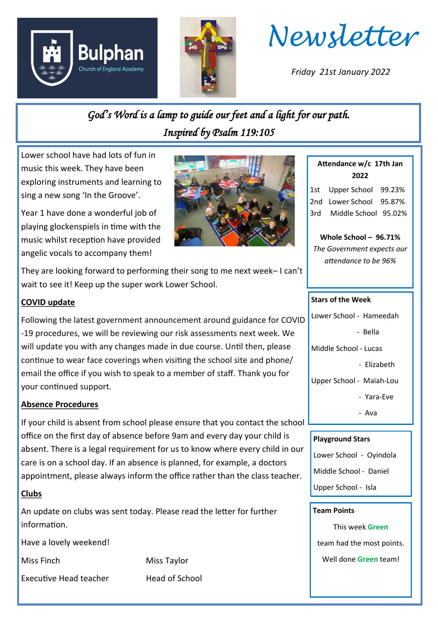





*Friday 21st January 2022*

# *God's Word is a lamp to guide our feet and a light for our path. Inspired by Psalm 119:105*

Lower school have had lots of fun in music this week. They have been exploring instruments and learning to sing a new song 'In the Groove'.

Year 1 have done a wonderful job of playing glockenspiels in time with the music whilst reception have provided angelic vocals to accompany them!



They are looking forward to performing their song to me next week– I can't wait to see it! Keep up the super work Lower School.

## **COVID update**

Following the latest government announcement around guidance for COVID -19 procedures, we will be reviewing our risk assessments next week. We will update you with any changes made in due course. Until then, please continue to wear face coverings when visiting the school site and phone/ email the office if you wish to speak to a member of staff. Thank you for your continued support.

## **Absence Procedures**

If your child is absent from school please ensure that you contact the school office on the first day of absence before 9am and every day your child is absent. There is a legal requirement for us to know where every child in our care is on a school day. If an absence is planned, for example, a doctors appointment, please always inform the office rather than the class teacher.

## **Clubs**

An update on clubs was sent today. Please read the letter for further information.

Have a lovely weekend!

Miss Finch Miss Taylor

Executive Head teacher Head of School

**Attendance w/c 17th Jan 2022**

1st Upper School 99.23% 2nd Lower School 95.87% 3rd Middle School 95.02%

**Whole School – 96.71%** *The Government expects our attendance to be 96%*

#### **Stars of the Week**

Lower School - Hameedah

- Bella

Middle School - Lucas

- Elizabeth

Upper School - Maiah-Lou

- Yara-Eve

- Ava

#### **Playground Stars**

Lower School - Oyindola

Middle School - Daniel

Upper School - Isla

#### **Team Points**

This week **Green** team had the most points.

Well done **Green** team!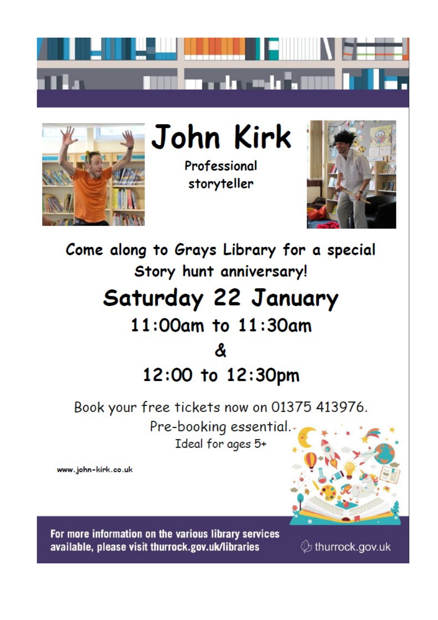



John Kirk

Professional storyteller



Come along to Grays Library for a special Story hunt anniversary! Saturday 22 January 11:00am to 11:30am ጼ 12:00 to 12:30pm

Book your free tickets now on 01375 413976.

Pre-booking essential. Ideal for ages 5+

www.john-kirk.co.uk



For more information on the various library services available, please visit thurrock.gov.uk/libraries

 $\mathcal{D}$  thurrock.gov.uk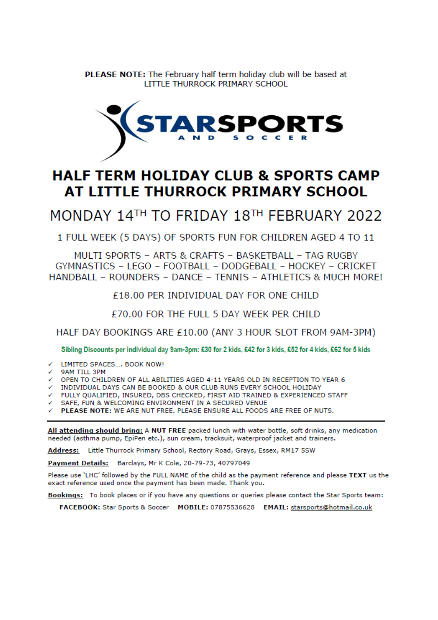**PLEASE NOTE:** The February half term holiday club will be based at LITTLE THURROCK PRIMARY SCHOOL



# **HALF TERM HOLIDAY CLUB & SPORTS CAMP** AT LITTLE THURROCK PRIMARY SCHOOL

MONDAY 14TH TO FRIDAY 18TH FEBRUARY 2022

1 FULL WEEK (5 DAYS) OF SPORTS FUN FOR CHILDREN AGED 4 TO 11

MULTI SPORTS - ARTS & CRAFTS - BASKETBALL - TAG RUGBY GYMNASTICS - LEGO - FOOTBALL - DODGEBALL - HOCKEY - CRICKET HANDBALL - ROUNDERS - DANCE - TENNIS - ATHLETICS & MUCH MORE!

£18.00 PER INDIVIDUAL DAY FOR ONE CHILD

£70.00 FOR THE FULL 5 DAY WEEK PER CHILD

HALF DAY BOOKINGS ARE £10.00 (ANY 3 HOUR SLOT FROM 9AM-3PM)

Sibling Discounts per individual day 9am-3pm: £30 for 2 kids, £42 for 3 kids, £52 for 4 kids, £62 for 5 kids

- ← LIMITED SPACES.... BOOK NOW!
- 9AM TILL 3PM
- OPEN TO CHILDREN OF ALL ABILITIES AGED 4-11 YEARS OLD IN RECEPTION TO YEAR 6
- INDIVIDUAL DAYS CAN BE BOOKED & OUR CLUB RUNS EVERY SCHOOL HOLIDAY
- √ FULLY QUALIFIED, INSURED, DBS CHECKED, FIRST AID TRAINED & EXPERIENCED STAFF

√ SAFE, FUN & WELCOMING ENVIRONMENT IN A SECURED VENUE

PLEASE NOTE: WE ARE NUT FREE. PLEASE ENSURE ALL FOODS ARE FREE OF NUTS.

All attending should bring: A NUT FREE packed lunch with water bottle, soft drinks, any medication needed (asthma pump, EpiPen etc.), sun cream, tracksuit, waterproof jacket and trainers.

Address: Little Thurrock Primary School, Rectory Road, Grays, Essex, RM17 5SW

Payment Details: Barclays, Mr K Cole, 20-79-73, 40797049

Please use 'LHC' followed by the FULL NAME of the child as the payment reference and please TEXT us the exact reference used once the payment has been made. Thank you.

Bookings: To book places or if you have any questions or queries please contact the Star Sports team:

FACEBOOK: Star Sports & Soccer MOBILE: 07875536628 EMAIL: starsports@hotmail.co.uk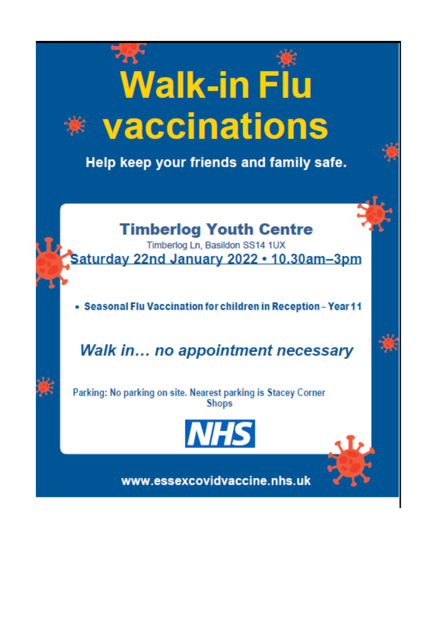